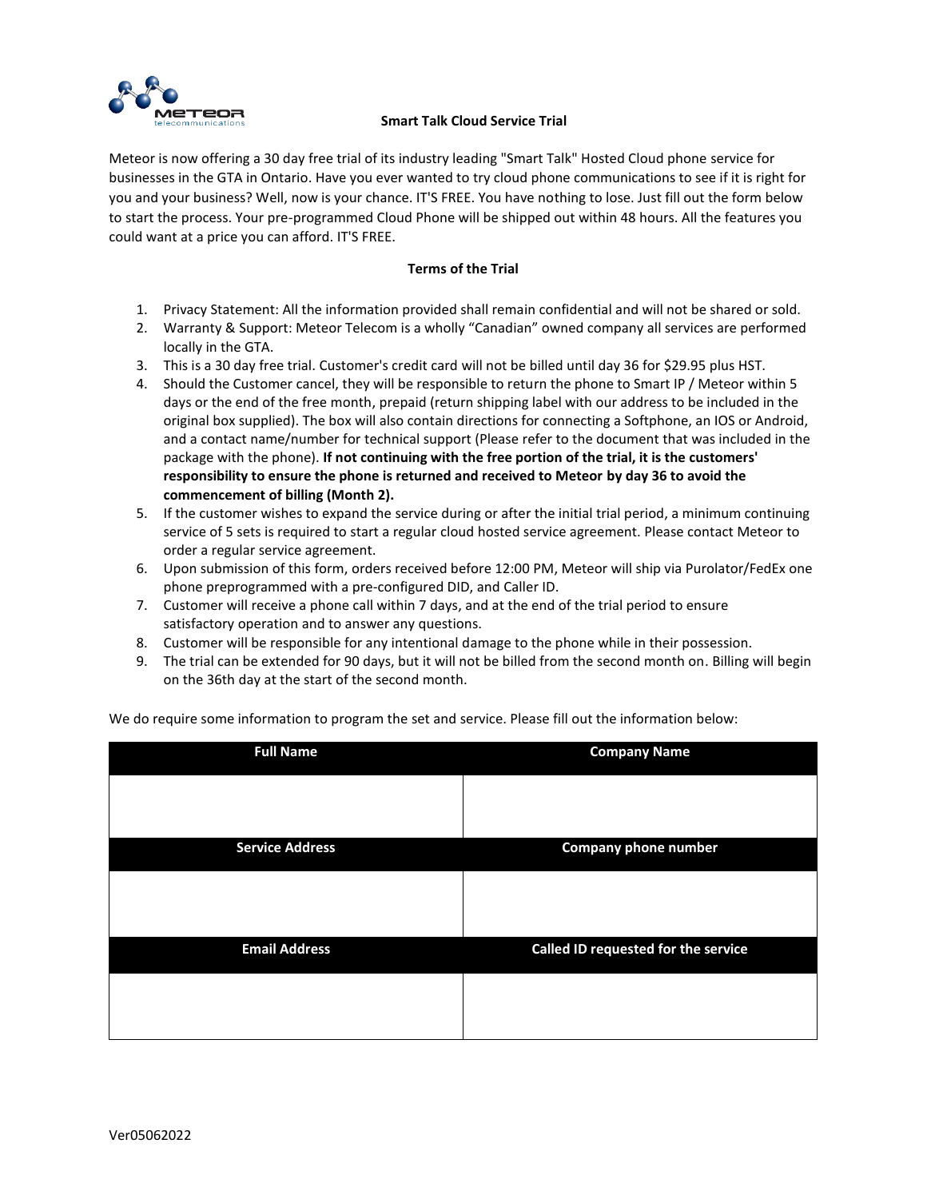

## **METEOR**<br>elecommunications Smart Talk Cloud Service Trial

Meteor is now offering a 30 day free trial of its industry leading "Smart Talk" Hosted Cloud phone service for businesses in the GTA in Ontario. Have you ever wanted to try cloud phone communications to see if it is right for you and your business? Well, now is your chance. IT'S FREE. You have nothing to lose. Just fill out the form below to start the process. Your pre-programmed Cloud Phone will be shipped out within 48 hours. All the features you could want at a price you can afford. IT'S FREE.

## **Terms of the Trial**

- 1. Privacy Statement: All the information provided shall remain confidential and will not be shared or sold.
- 2. Warranty & Support: Meteor Telecom is a wholly "Canadian" owned company all services are performed locally in the GTA.
- 3. This is a 30 day free trial. Customer's credit card will not be billed until day 36 for \$29.95 plus HST.
- 4. Should the Customer cancel, they will be responsible to return the phone to Smart IP / Meteor within 5 days or the end of the free month, prepaid (return shipping label with our address to be included in the original box supplied). The box will also contain directions for connecting a Softphone, an IOS or Android, and a contact name/number for technical support (Please refer to the document that was included in the package with the phone). **If not continuing with the free portion of the trial, it is the customers' responsibility to ensure the phone is returned and received to Meteor by day 36 to avoid the commencement of billing (Month 2).**
- 5. If the customer wishes to expand the service during or after the initial trial period, a minimum continuing service of 5 sets is required to start a regular cloud hosted service agreement. Please contact Meteor to order a regular service agreement.
- 6. Upon submission of this form, orders received before 12:00 PM, Meteor will ship via Purolator/FedEx one phone preprogrammed with a pre-configured DID, and Caller ID.
- 7. Customer will receive a phone call within 7 days, and at the end of the trial period to ensure satisfactory operation and to answer any questions.
- 8. Customer will be responsible for any intentional damage to the phone while in their possession.
- 9. The trial can be extended for 90 days, but it will not be billed from the second month on. Billing will begin on the 36th day at the start of the second month.

| <b>Full Name</b>       | <b>Company Name</b>                 |  |  |
|------------------------|-------------------------------------|--|--|
|                        |                                     |  |  |
|                        |                                     |  |  |
| <b>Service Address</b> | <b>Company phone number</b>         |  |  |
|                        |                                     |  |  |
|                        |                                     |  |  |
| <b>Email Address</b>   | Called ID requested for the service |  |  |
|                        |                                     |  |  |
|                        |                                     |  |  |

We do require some information to program the set and service. Please fill out the information below: